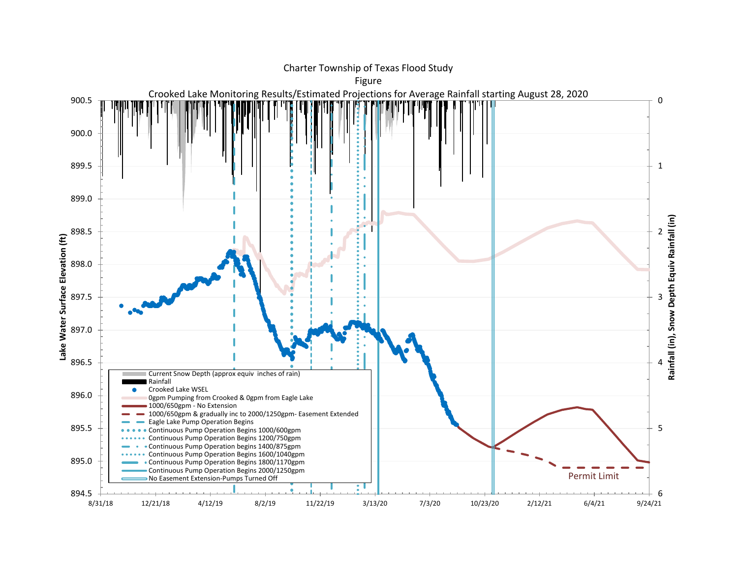

## Charter Township of Texas Flood Study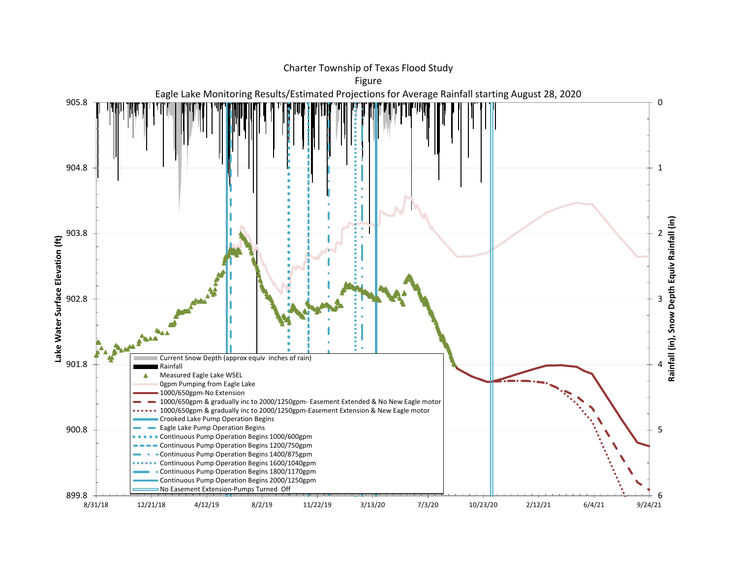